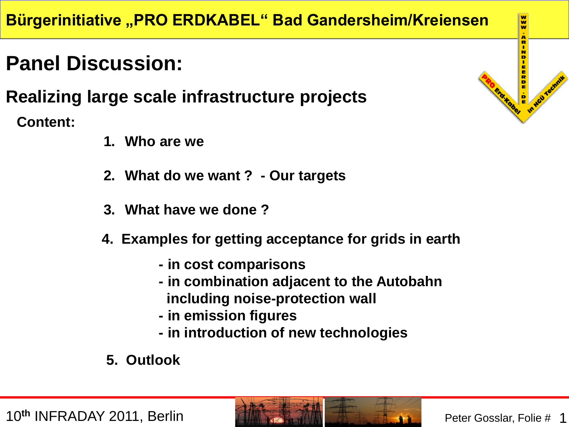# **Panel Discussion:**

## **Realizing large scale infrastructure projects**

**Content:**

- **1. Who are we**
- **2. What do we want ? - Our targets**
- **3. What have we done ?**
- **4. Examples for getting acceptance for grids in earth** 
	- **- in cost comparisons**
	- **- in combination adjacent to the Autobahn including noise-protection wall**
	- **- in emission figures**
	- **- in introduction of new technologies**
- **5. Outlook**



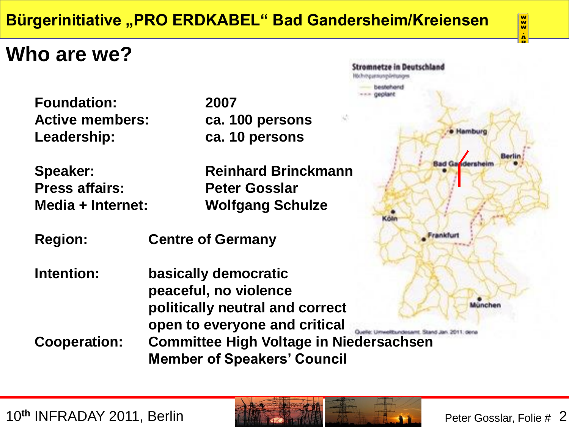## **Who are we?**

**Foundation: 2007 Active members: ca. 100 persons Leadership: ca. 10 persons**

**Press affairs: Peter Gosslar**

**Speaker: Reinhard Brinckmann Media + Internet: Wolfgang Schulze**

- **Region: Centre of Germany**
- **Intention: basically democratic peaceful, no violence politically neutral and correct open to everyone and critical Cooperation: Committee High Voltage in [Niedersachsen](http://www.abindieerde.de/05-Bilder-Kabel/Stromnetze_Deutschland_2011.pdf) Member of Speakers' Council**



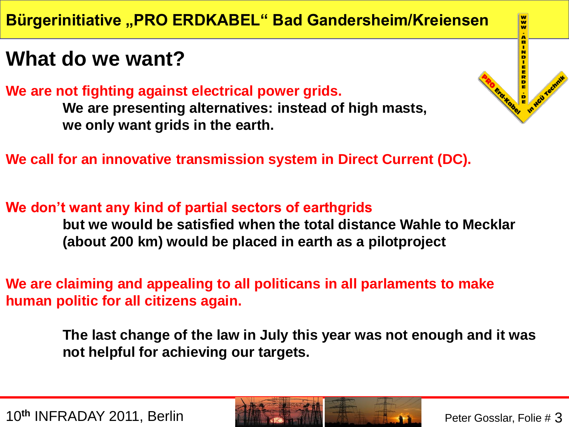# **What do we want?**

**We are not fighting against electrical power grids.**

**We are presenting alternatives: instead of high masts, we only want grids in the earth.**

**We call for an innovative transmission system in Direct Current (DC).** 

**We don't want any kind of partial sectors of earthgrids but we would be satisfied when the total distance Wahle to Mecklar (about 200 km) would be placed in earth as a pilotproject**

**We are claiming and appealing to all politicans in all parlaments to make human politic for all citizens again.**

> **The last change of the law in July this year was not enough and it was not helpful for achieving our targets.**

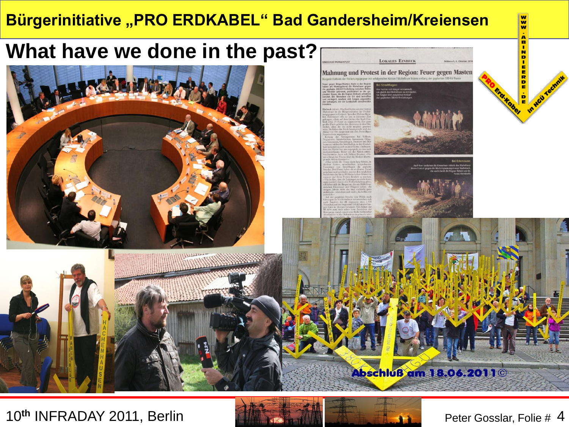





## 10<sup>th</sup> INFRADAY 2011, Berlin **Peter Gosslar, Folie # 4** and Peter Gosslar, Folie # 4



w.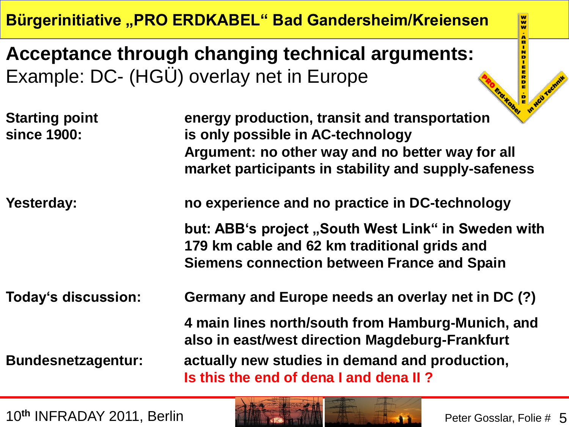**Acceptance through changing technical arguments:** Example: DC- (HGÜ) overlay net in Europe

| <b>Starting point</b><br>since 1900: | $\bullet$<br>energy production, transit and transportation<br>is only possible in AC-technology<br>Argument: no other way and no better way for all<br>market participants in stability and supply-safeness |  |
|--------------------------------------|-------------------------------------------------------------------------------------------------------------------------------------------------------------------------------------------------------------|--|
| Yesterday:                           | no experience and no practice in DC-technology                                                                                                                                                              |  |
|                                      | but: ABB's project "South West Link" in Sweden with<br>179 km cable and 62 km traditional grids and<br><b>Siemens connection between France and Spain</b>                                                   |  |
| Today's discussion:                  | Germany and Europe needs an overlay net in DC (?)                                                                                                                                                           |  |
| <b>Bundesnetzagentur:</b>            | 4 main lines north/south from Hamburg-Munich, and<br>also in east/west direction Magdeburg-Frankfurt<br>actually new studies in demand and production,<br>Is this the end of dena I and dena II?            |  |



 $\frac{1}{2}$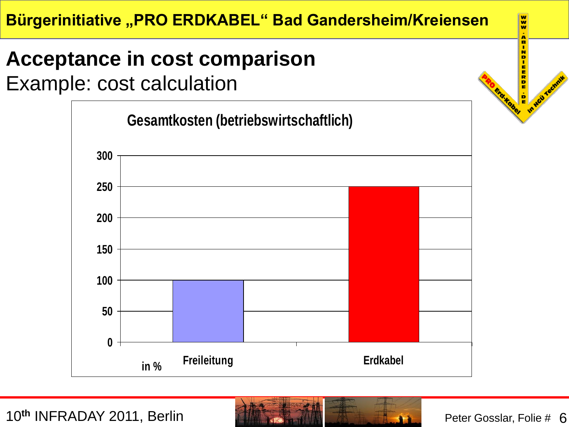# **Acceptance in cost comparison**

Example: cost calculation





w.

In Hail Ted

Erd.Kobel Ð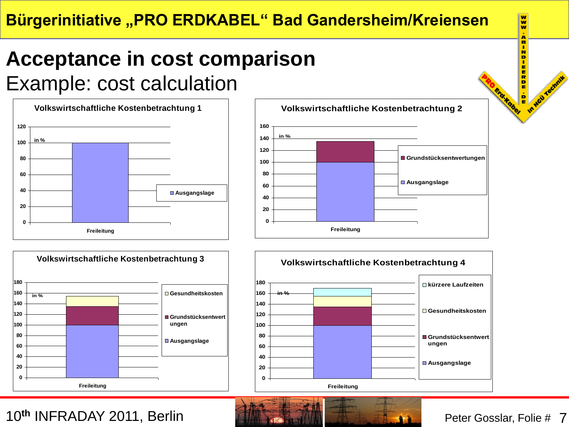# **Acceptance in cost comparison**

Example: cost calculation











 $\overline{\mathbf{w}}$ w œ

In Hou Technik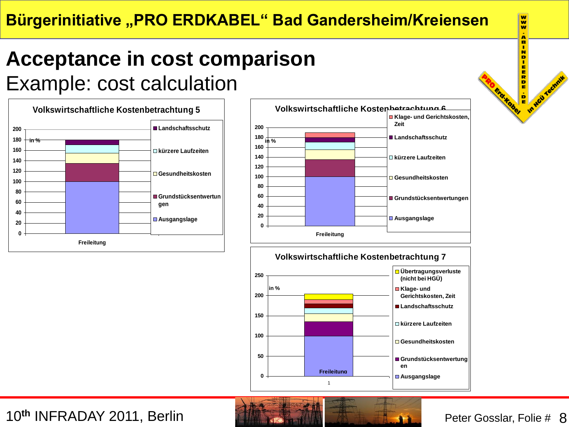# **Acceptance in cost comparison**

Example: cost calculation









## w. w R N **KKODE**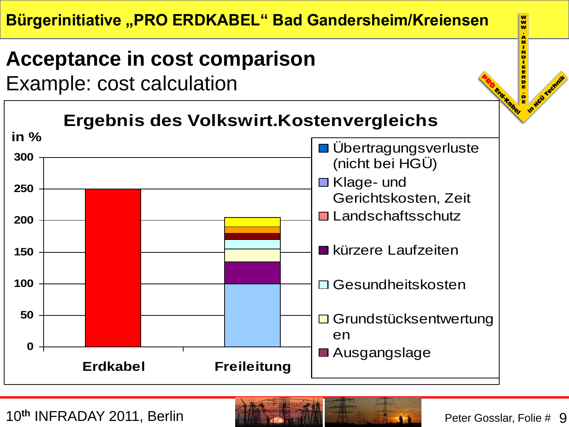

Example: cost calculation



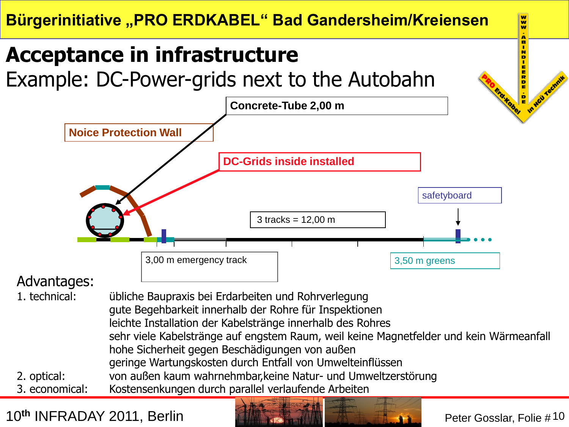# **Acceptance in infrastructure**

Example: DC-Power-grids next to the Autobahn



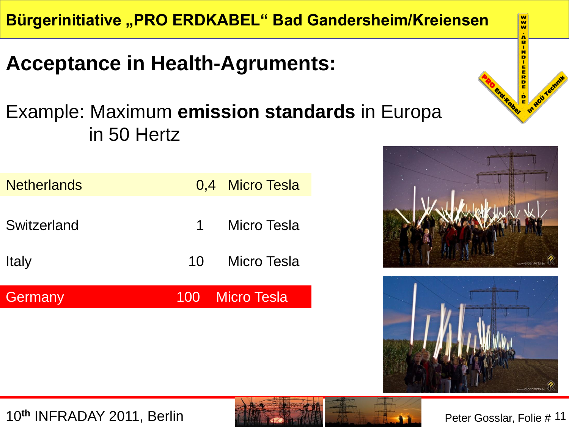# **Acceptance in Health-Agruments:**

## Example: Maximum **emission standards** in Europa in 50 Hertz

| <b>Netherlands</b> |           | 0,4 Micro Tesla    |
|--------------------|-----------|--------------------|
| Switzerland        | $1 \quad$ | Micro Tesla        |
| <b>Italy</b>       | 10        | <b>Micro Tesla</b> |
| Germany            |           | 100 Micro Tesla    |





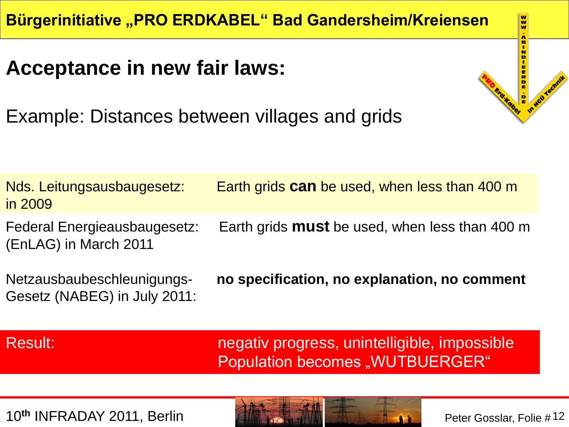# **Acceptance in new fair laws:**

Example: Distances between villages and grids

Nds. Leitungsausbaugesetz: Earth grids **can** be used, when less than 400 m in 2009 Federal Energieausbaugesetz: Earth grids **must** be used, when less than 400 m

(EnLAG) in March 2011

Gesetz (NABEG) in July 2011:

Netzausbaubeschleunigungs- **no specification, no explanation, no comment**

Result: negativ progress, unintelligible, impossible Population becomes "WUTBUERGER"



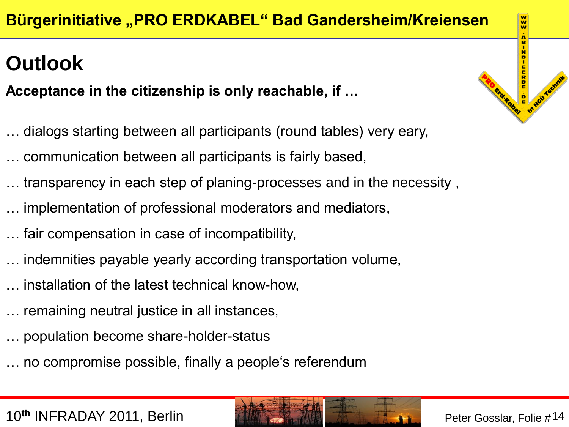# **Outlook**

**Acceptance in the citizenship is only reachable, if …**

- … dialogs starting between all participants (round tables) very eary,
- … communication between all participants is fairly based,
- transparency in each step of planing-processes and in the necessity,
- implementation of professional moderators and mediators,
- … fair compensation in case of incompatibility,
- indemnities payable yearly according transportation volume,
- … installation of the latest technical know-how,
- … remaining neutral justice in all instances,
- … population become share-holder-status
- … no compromise possible, finally a people's referendum